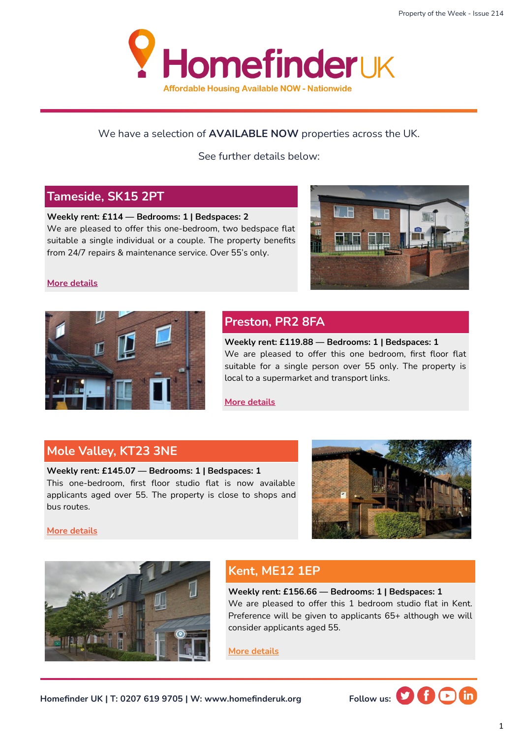

#### We have a selection of **AVAILABLE NOW** properties across the UK.

See further details below:

#### **Tameside, SK15 2PT**

**Weekly rent: £114 — Bedrooms: 1 | Bedspaces: 2**  We are pleased to offer this one-bedroom, two bedspace flat suitable a single individual or a couple. The property benefits from 24/7 repairs & maintenance service. Over 55's only.



#### **[More details](https://homefinderuk.org/property-detail/523187145-HF2001118)**



#### **Preston, PR2 8FA**

**Weekly rent: £119.88 — Bedrooms: 1 | Bedspaces: 1**  We are pleased to offer this one bedroom, first floor flat suitable for a single person over 55 only. The property is local to a supermarket and transport links.

**[More details](https://homefinderuk.org/property-detail/523969188-HF2001147)**

#### **Mole Valley, KT23 3NE**

**Weekly rent: £145.07 — Bedrooms: 1 | Bedspaces: 1**  This one-bedroom, first floor studio flat is now available applicants aged over 55. The property is close to shops and bus routes.



**[More details](https://homefinderuk.org/property-detail/506558711-HF2000711)**



### **Kent, ME12 1EP**

**Weekly rent: £156.66 — Bedrooms: 1 | Bedspaces: 1** We are pleased to offer this 1 bedroom studio flat in Kent. Preference will be given to applicants 65+ although we will consider applicants aged 55.

**[More details](https://homefinderuk.org/property-detail/532066477-HF2001398)**